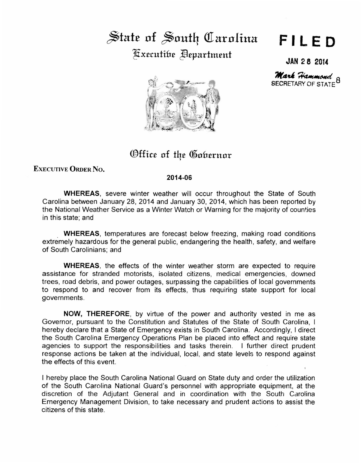## $\frac{1}{2}$  state of  $\frac{1}{2}$  outh Carolina Fxecutifre **Pepartment**

## **FILED**

**JAN 2 8 2014** 

SECRETARY OF STATE Mark Hammond

Office of the Gobernor

EXECUTIVE ORDER No.

## **2014-06**

**WHEREAS,** severe winter weather will occur throughout the State of South Carolina between January 28, 2014 and January 30, 2014, which has been reported by the National Weather Service as a Winter Watch or Warning for the majority of counties in this state; and

. **WHEREAS,** temperatures are forecast below freezing, making road conditions extremely hazardous for the general public, endangering the health, safety, and welfare of South Carolinians; and

**WHEREAS,** the effects of the winter weather storm are expected to require assistance for stranded motorists, isolated citizens, medical emergencies, downed trees, road debris, and power outages, surpassing the capabilities of local governments to respond to and recover from its effects, thus requiring state support for local governments.

**NOW, THEREFORE,** by virtue of the power and authority vested in me as Governor, pursuant to the Constitution and Statutes of the State of South Carolina, I hereby declare that a State of Emergency exists in South Carolina. Accordingly, I direct the South Carolina Emergency Operations Plan be placed into effect and require state agencies to support the responsibilities and tasks therein. I further direct prudent response actions be taken at the individual, local, and state levels to respond against the effects of this event.

I hereby place the South Carolina National Guard on State duty and order the utilization of the South Carolina National Guard's personnel with appropriate equipment, at the discretion of the Adjutant General and in coordination with the South Carolina Emergency Management Division, to take necessary and prudent actions to assist the citizens of this state.